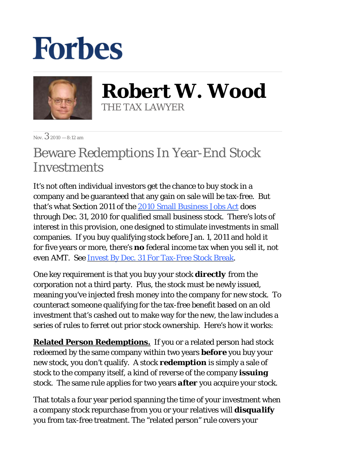## **Forbes**



**Robert W. Wood** THE TAX LAWYER

 $N_{\text{ov}}$  3 2010 — 8:12 am

## Beware Redemptions In Year-End Stock **Investments**

It's not often individual investors get the chance to buy stock in a company and be guaranteed that any gain on sale will be tax-free. But that's what Section 2011 of the 2010 Small Business Jobs Act does through Dec. 31, 2010 for qualified small business stock. There's lots of interest in this provision, one designed to stimulate investments in small companies. If you buy qualifying stock before Jan. 1, 2011 and hold it for five years or more, there's *no* federal income tax when you sell it, not even AMT. See Invest By Dec. 31 For Tax-Free Stock Break.

One key requirement is that you buy your stock *directly* from the corporation not a third party. Plus, the stock must be newly issued, meaning you've injected fresh money into the company for new stock. To counteract someone qualifying for the tax-free benefit based on an old investment that's cashed out to make way for the new, the law includes a series of rules to ferret out prior stock ownership. Here's how it works:

**Related Person Redemptions***.* If you or a related person had stock redeemed by the same company within two years *before* you buy your new stock, you don't qualify. A stock *redemption* is simply a sale of stock to the company itself, a kind of reverse of the company *issuing* stock. The same rule applies for two years *after* you acquire your stock.

That totals a four year period spanning the time of your investment when a company stock repurchase from you or your relatives will *disqualify* you from tax-free treatment. The "related person" rule covers your